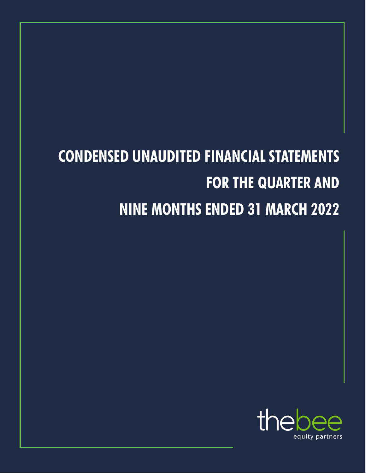# **CONDENSED UNAUDITED FINANCIAL STATEMENTS FOR THE QUARTER AND NINE MONTHS ENDED 31 MARCH 2022**